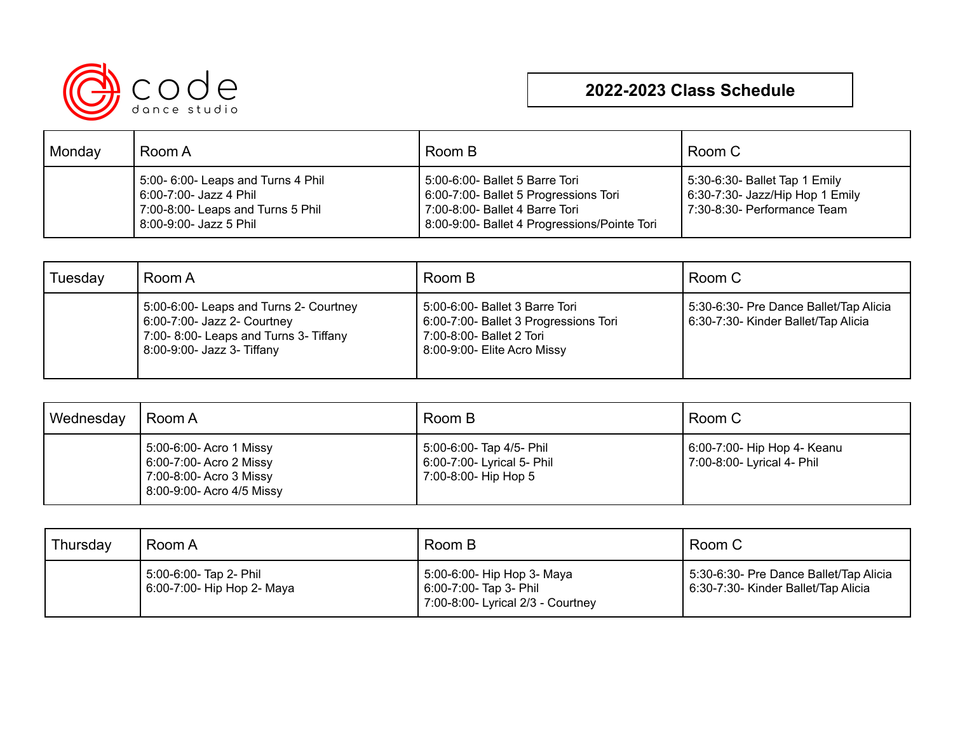

## **2022-2023 Class Schedule**

| Monday | Room A                                                                                                                      | Room B                                                                                                                                                    | Room C                                                                                             |
|--------|-----------------------------------------------------------------------------------------------------------------------------|-----------------------------------------------------------------------------------------------------------------------------------------------------------|----------------------------------------------------------------------------------------------------|
|        | 5:00- 6:00- Leaps and Turns 4 Phil<br>6:00-7:00- Jazz 4 Phil<br>7:00-8:00- Leaps and Turns 5 Phil<br>8:00-9:00- Jazz 5 Phil | 5:00-6:00- Ballet 5 Barre Tori<br>6:00-7:00- Ballet 5 Progressions Tori<br>7:00-8:00- Ballet 4 Barre Tori<br>8:00-9:00- Ballet 4 Progressions/Pointe Tori | 5:30-6:30- Ballet Tap 1 Emily<br>$6:30-7:30$ - Jazz/Hip Hop 1 Emily<br>7:30-8:30- Performance Team |

| Tuesday | Room A                                                                                                                                       | Room B                                                                                                                             | Room C                                                                        |
|---------|----------------------------------------------------------------------------------------------------------------------------------------------|------------------------------------------------------------------------------------------------------------------------------------|-------------------------------------------------------------------------------|
|         | 5:00-6:00- Leaps and Turns 2- Courtney<br>6:00-7:00- Jazz 2- Courtney<br>7:00-8:00- Leaps and Turns 3- Tiffany<br>8:00-9:00- Jazz 3- Tiffany | 5:00-6:00- Ballet 3 Barre Tori<br>6:00-7:00- Ballet 3 Progressions Tori<br>7:00-8:00- Ballet 2 Tori<br>8:00-9:00- Elite Acro Missy | 5:30-6:30- Pre Dance Ballet/Tap Alicia<br>6:30-7:30- Kinder Ballet/Tap Alicia |

| Wednesday | Room A                                                                                                     | Room B                                                                         | Room C                                                    |
|-----------|------------------------------------------------------------------------------------------------------------|--------------------------------------------------------------------------------|-----------------------------------------------------------|
|           | 5:00-6:00- Acro 1 Missy<br>6:00-7:00- Acro 2 Missy<br>7:00-8:00- Acro 3 Missy<br>8:00-9:00- Acro 4/5 Missy | 5:00-6:00- Tap 4/5- Phil<br>6:00-7:00- Lyrical 5- Phil<br>7:00-8:00- Hip Hop 5 | 6:00-7:00- Hip Hop 4- Keanu<br>7:00-8:00- Lyrical 4- Phil |

| Thursday | Room A                                               | Room B                                                                                    | Room C                                                                        |
|----------|------------------------------------------------------|-------------------------------------------------------------------------------------------|-------------------------------------------------------------------------------|
|          | 5:00-6:00- Tap 2- Phil<br>6:00-7:00- Hip Hop 2- Maya | 5:00-6:00- Hip Hop 3- Maya<br>6:00-7:00- Tap 3- Phil<br>7:00-8:00- Lyrical 2/3 - Courtney | 5:30-6:30- Pre Dance Ballet/Tap Alicia<br>6:30-7:30- Kinder Ballet/Tap Alicia |